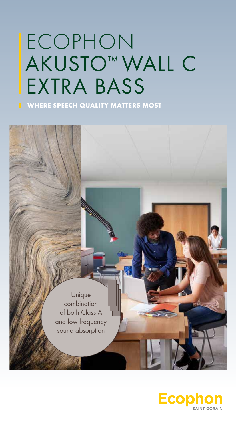# ECOPHON AKUSTO™ WALL C EXTRA BASS

WHERE SPEECH QUALITY MATTERS MOST

**MULTIMARY SERVICE SERVICE** 

 Unique combination of both Class A and low frequency sound absorption

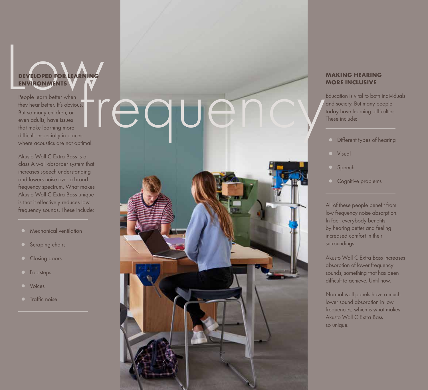

People learn better when they hear better. It's obvious. But so many children, or even adults, have issues that make learning more difficult, especially in places where acoustics are not optimal.

Akusto Wall C Extra Bass is a class A wall absorber system that increases speech understanding and lowers noise over a broad frequency spectrum. What makes Akusto Wall C Extra Bass unique is that it effectively reduces low frequency sounds. These include:

- **Mechanical** ventilation
- **o** Scraping chairs
- Closing doors
- Footsteps●
- Voices●
- **O** Traffic noise



### **MAKING HEARING MORE INCLUSIVE**

Education is vital to both individuals and society. But many people today have learning difficulties. These include:

- **O** Different types of hearing
- **O** Visual
- O Speech
- **O** Cognitive problems

All of these people benefit from low frequency noise absorption. In fact, everybody benefits by hearing better and feeling increased comfort in their surroundings.

Akusto Wall C Extra Bass increases absorption of lower frequency sounds, something that has been difficult to achieve. Until now.

Normal wall panels have a much lower sound absorption in low frequencies, which is what makes Akusto Wall C Extra Bass so unique.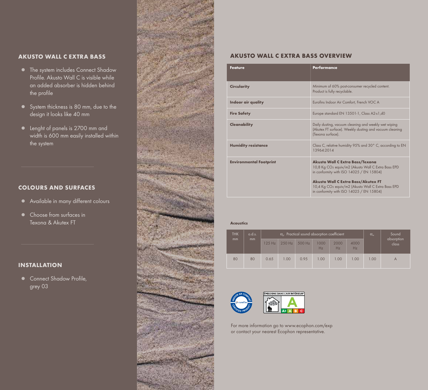### **AKUSTO WALL C EXTRA BASS**

- The system includes Connect Shadow Profile. Akusto Wall C is visible while an added absorber is hidden behind the profile
- System thickness is 80 mm, due to the design it looks like 40 mm
- Lenght of panels is 2700 mm and width is 600 mm easily installed within the system

### COLOURS AND SURFACES

- Available in many different colours
- Choose from surfaces in Texona & Akutex FT

### INSTALLATION

● Connect Shadow Profile, grey 03



### **AKUSTO WALL C EXTRA BASS OVERVIEW**

| <b>Feature</b>                 | <b>Performance</b>                                                                                                                                                                                                                                                                                                    |
|--------------------------------|-----------------------------------------------------------------------------------------------------------------------------------------------------------------------------------------------------------------------------------------------------------------------------------------------------------------------|
| <b>Circularity</b>             | Minimum of 60% post-consumer recycled content.<br>Product is fully recyclable.                                                                                                                                                                                                                                        |
| Indoor air quality             | Eurofins Indoor Air Comfort, French VOC A                                                                                                                                                                                                                                                                             |
| <b>Fire Safety</b>             | Europe standard EN 13501-1, Class A2-s1,d0                                                                                                                                                                                                                                                                            |
| Cleanability                   | Daily dusting, vacuum cleaning and weekly wet wiping<br>(Akutex FT surface). Weekly dusting and vacuum cleaning<br>(Texona surface).                                                                                                                                                                                  |
| <b>Humidity resistance</b>     | Class C, relative humidity 95% and 30° C, according to EN<br>13964.2014                                                                                                                                                                                                                                               |
| <b>Environmental Footprint</b> | <b>Akusto Wall C Extra Bass/Texona</b><br>10,8 Kg CO <sub>2</sub> equiv/m2 (Akusto Wall C Extra Bass EPD)<br>in conformity with ISO $14025 / EN$ 15804)<br><b>Akusto Wall C Extra Bass/Akutex FT</b><br>10,4 Kg CO <sub>2</sub> equiv/m2 (Akusto Wall C Extra Bass EPD<br>in conformity with ISO $14025 / EN 15804$ ) |

### **Acoustics**

| <b>THK</b><br>mm | o.d.s.<br>mm | $\alpha_{p}$ . Practical sound absorption coefficient |          |        |            | $\alpha_{\rm w}$ | Sound      |      |                     |
|------------------|--------------|-------------------------------------------------------|----------|--------|------------|------------------|------------|------|---------------------|
|                  |              | $125$ Hz                                              | $250$ Hz | 500 Hz | 1000<br>Hz | 2000<br>Hz       | 4000<br>Hz |      | absorption<br>class |
| 80               | 80           | 0.65                                                  | 1.00     | 0.95   | 1.00       | 1.00             | 1.00       | 1.00 | A                   |



For more information go to www.ecophon.com/exp or contact your nearest Ecophon representative.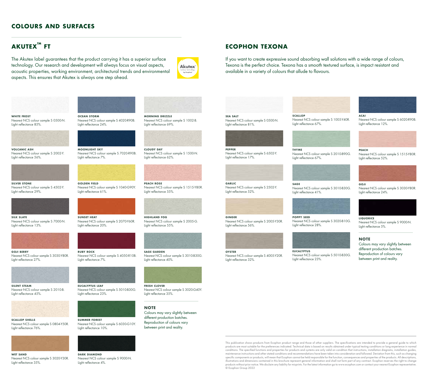### COLOURS AND SURFACES

### $AKUTEX<sup>TM</sup> FT$

The Akutex label guarantees that the product carrying it has a superior surface technology. Our research and development will always focus on visual aspects, acoustic properties, working environment, architectural trends and environmental aspects. This ensures that Akutex is always one step ahead.

**OCEAN STORM** 

Light reflectance 24%.

**MOONLIGHT SKY** 

Light reflectance 7%.

**GOLDEN FIELD** 

**SUNSET HEAT** 

Light reflectance 20%.

light reflectance 61%

Nearest NCS colour sample S 4020-R90B.

Nearest NCS colour sample S 7020-R90B.

Nearest NCS colour sample S 1040-G90Y.

Nearest NCS colour sample S 2070-Y60R.





Nearest NCS colour sample S 0500-N. Light reflectance 85%.



Nearest NCS colour sample S 2002-Y. Light reflectance 56%.



Nearest NCS colour sample S 4502-Y. Light reflectance 29%.



Nearest NCS colour sample S 7000-N. Light reflectance 13%.



Nearest NCS colour sample S 3030-Y80R. Light reflectance 27%



**SILENT STEAM** Nearest NCS colour sample S 2010-B. Light reflectance 45%.



**SCALLOP SHELLS** Nearest NCS colour sample S 0804-Y50R. light reflectance 76%

Nearest NCS colour sample S 3020-Y30R.

WET SAND

Light reflectance 35%.





**RUBY ROCK** 

Light reflectance 7%

EUCALYPTUS LEAF

Light reflectance 23%.

## DARK DIAMOND

Nearest NCS colour sample S 9000-N. Light reflectance 4%.

Nearest NCS colour sample S 4050-R10B.

Nearest NCS colour sample S 5010-B30G.



MORNING DRIZZLE Nearest NCS colour sample S 1002-B. Light reflectance 69%.



CLOUDY DAY Nearest NCS colour sample S 1500-N. Light reflectance 62%.



**PEACH ROSE** Nearest NCS colour sample S 1515-Y80R. light reflectance 55%



**HIGHLAND FOG** Nearest NCS colour sample S 2005-G. Light reflectance 55%.



SAGE GARDEN Nearest NCS colour sample S 3010-B30G. Light reflectance 40%.



FRESH CLOVER Nearest NCS colour sample S 3020-G40Y. Light reflectance 35%.

### **NOTE**

Colours may vary slightly between different production batches. Reproduction of colours vary between print and reality.



If you want to create expressive sound absorbing wall solutions with a wide range of colours, Texona is the perfect choice. Texona has a smooth textured surface, is impact resistant and available in a variety of colours that allude to flavours.



Nearest NCS colour sample S 0500-N.

Nearest NCS colour sample S 6502-Y.

Light reflectance 81%.



Nearest NCS colour sample S 1005-Y40R. Light reflectance 67%.



Nearest NCS colour sample S 2010-B90G. light reflectance 67%

**PEACH** Nearest NCS colour sample S 1515-Y80R.

Nearest NCS colour sample S 6020-R90B.



Nearest NCS colour sample S 3010-B30G. Light reflectance 41%.

POPPY SEED

Nearest NCS colour sample S 3020-B10G. Light reflectance 28%.

eucalyptus Nearest NCS colour sample S 5010-B30G. light reflectance 23%



Light reflectance 12%.

Light reflectance 52%.



Nearest NCS colour sample S 3030-Y80R. Light reflectance 24%.



**LIQUORICE** Nearest NCS colour sample S 9000-N. Light reflectance 5%.

### **NOTE**

acai

Colours may vary slightly between different production batches. Reproduction of colours vary between print and reality.

### This publication shows products from Ecophon product range and those of other suppliers. The specifications are intended to provide a general guide to which products are most suitable for the preferences indicated. Technical data is based on results obtained under typical testing conditions or long experience in normal , guide since the specified functions and properties for products and systems are only valid on condition that instructions, installation diagrams, installation quides, conditions in the specified functions and properties maintenance instructions and other stated conditions and recommendations have been taken into consideration and followed. Deviation from this, such as changing specific components or products, will mean that Ecophon cannot be held responsible for the function, consequences and properties of the products. All descrip illustrations and dimensions contained in this brochure represent general information and shall not form part of any contract. Ecophon reserves the right to change products without prior notice. We disclaim any liability for misprints. For the latest information go to www.ecophon.com or contact your nearest Ecophon representative .<br>© Ecophon Group 2022

# Light reflectance 17%.

pepper

garlic Nearest NCS colour sample S 2502-Y. light reflectance 52%

### ginger Nearest NCS colour sample S 2005-Y30R. Light reflectance 56%.

## **OYSTER**

Nearest NCS colour sample S 4005-Y20R. Light reflectance 32%.